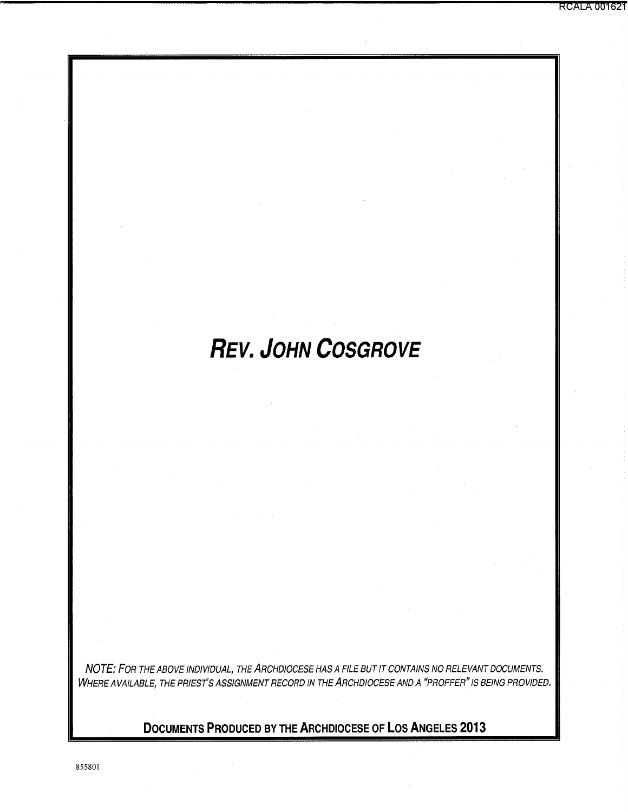# **REV. JOHN COSGROVE**

NOTE: FOR THE ABOVE INDIVIDUAL, THE ARCHDIOCESE HAS A FILE BUT IT CONTAINS NO RELEVANT DOCUMENTS. WHERE AVAILABLE, THE PRIEST'S ASSIGNMENT RECORD IN THE ARCHDIOCESE AND A "PROFFER" IS BEING PROVIDED.

**DOCUMENTS PRODUCED BY THE ARCHDIOCESE OF LOS ANGELES 2013** 

855801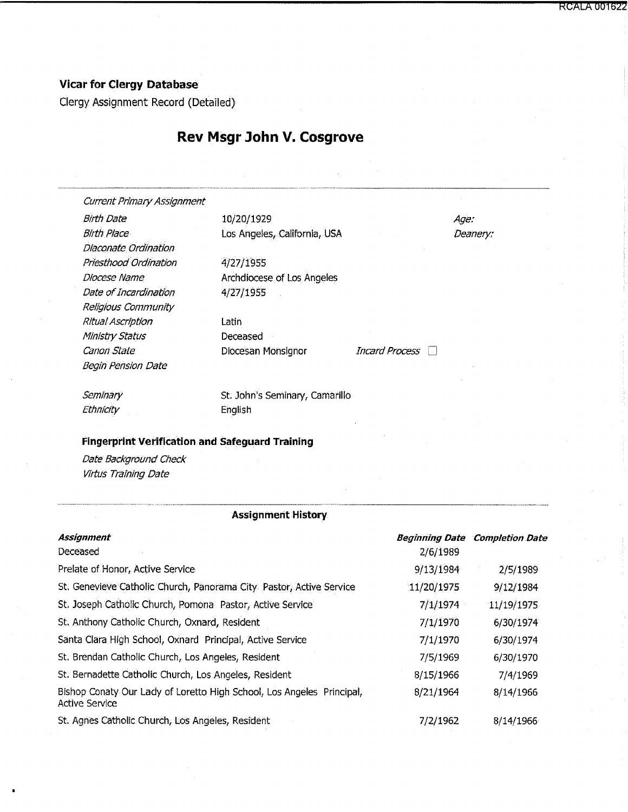**RCALA 001622** 

## **Vicar for Clergy Database**

Clergy Assignment Record (Detailed)

# **Rev Msgr John V. Cosgrove**

Current Primary Assignment

Dfaconate Ordination Priesthood Ordination Diocese Name Date of Incardination Religious Community Ritual Ascription Ministry Status Canon State **Diocesan Monsignor** Incard Process Begin Pension Date

Birth Date 10/20/1929 Birth Place Los Angeles, California, USA

> 4/27/1955 Archdiocese of los Angeles 4/27/1955

latin Deceased

Age: Deanery:

---·••••••••••"-"""--'""'"-"""''"'''•-•••••<--.••••••-·-•

**Seminary** Ethnicity

St. John's Seminary, camarillo English

### **Fingerprint Verification and Safeguard Training**

Date Background Check Virtus Training Date

#### **Assignment History**

| <b>Assignment</b>                                                                              | <b>Beginning Date</b> | <b>Completion Date</b> |
|------------------------------------------------------------------------------------------------|-----------------------|------------------------|
| Deceased                                                                                       | 2/6/1989              |                        |
| Prelate of Honor, Active Service                                                               | 9/13/1984             | 2/5/1989               |
| St. Genevieve Catholic Church, Panorama City Pastor, Active Service                            | 11/20/1975            | 9/12/1984              |
| St. Joseph Catholic Church, Pomona Pastor, Active Service                                      | 7/1/1974              | 11/19/1975             |
| St. Anthony Catholic Church, Oxnard, Resident                                                  | 7/1/1970              | 6/30/1974              |
| Santa Clara High School, Oxnard Principal, Active Service                                      | 7/1/1970              | 6/30/1974              |
| St. Brendan Catholic Church, Los Angeles, Resident                                             | 7/5/1969              | 6/30/1970              |
| St. Bernadette Catholic Church, Los Angeles, Resident                                          | 8/15/1966             | 7/4/1969               |
| Bishop Conaty Our Lady of Loretto High School, Los Angeles Principal,<br><b>Active Service</b> | 8/21/1964             | 8/14/1966              |
| St. Agnes Catholic Church, Los Angeles, Resident                                               | 7/2/1962              | 8/14/1966              |